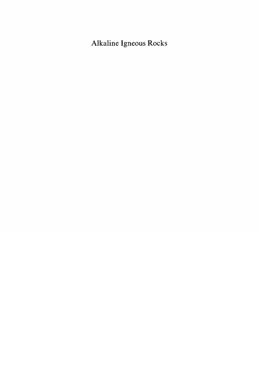Alkaline Igneous Rocks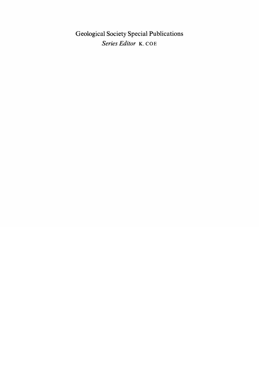Geological Society Special Publications Series Editor K. COE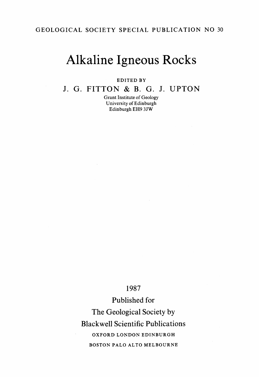# **Alkaline Igneous Rocks**

### **EDITED** BY

# **J. G. FITTON & B. G. J. UPTON**

Grant Institute of **Geology**  University of Edinburgh Edinburgh EH9 3JW

# **1987**

**Published for The Geological Society by Blackwell Scientific Publications OXFORD LONDON EDINBURGH BOSTON PALO ALTO MELBOURNE**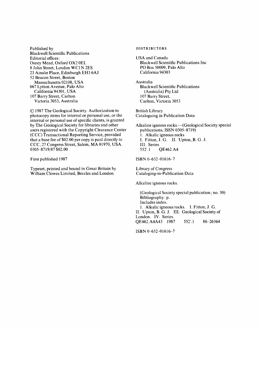Published by **Blackwell Scientific Publications** Editorial offices: Osney Mead, Oxford OX2 0EL 8 John Street, London WC1N 2ES 23 Ainslie Place, Edinburgh EH3 6AJ 52 Beacon Street, Boston Massachusetts 02108, USA 667 Lytton Avenue, Palo Alto California 94301, USA 107 Barry Street, Carlton Victoria 3053, Australia

Editorial offices: C 1987 The Geological Society photocopy items for internal or personal use, or the internal or personal use of specific clients, is granted by The Geological Society for libraries and other users registered with the Copyright Clearance Center (CCC) Transactional Reporting Service, provided that a base fee of \$02.00 per copy is paid directly to CCC, 27 Congress Street, Salem, MA 01970, USA. 0305-8719/87 \$02.00

First published 1987

Typeset, printed and bound in Great Britain by William Clowes Limited, Beccles and London

### **DISTRIBUTORS**

**USA** and Canada **Blackwell Scientific Publications Inc** PO Box 50009, Palo Alto California 94303

Australia **Blackwell Scientific Publications** (Australia) Pty Ltd 107 Barry Street,<br>Carlton, Victoria 3053

 $P$ lackwell  $\sum_{i=1}^{n} P_i$ Cataloguing in Publication Data

Alkaline igneous rocks. - (Geological Society special publications, ISSN 0305-8719) 1. Alkalic igneous rocks I. Fitton, J. G. II. Upton, B. G. J. III. Series<br> $552'.1$ QE462.A4

ISBN 0-632-01616-7

Cataloging-in-Publication Data

Alkaline igneous rocks.

I. Fitton, J.G. II. Upton, B. G. J. (Geologica Bibliography: p.<br>Includes index. 1. Alkalic igneous rocks. I. Fitton, J. G.<br>II. Upton, B. G. J. III. Geological Society of London. IV. Series. QE462.A4A43 1987 552'.1 86-26364

 $ISBN 0-632-01616-7$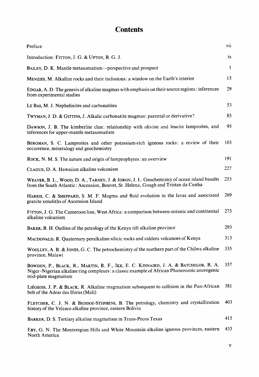# **Contents**

| Preface                                                                                                                                                                                                   | V11 |
|-----------------------------------------------------------------------------------------------------------------------------------------------------------------------------------------------------------|-----|
| Introduction: FITTON, J. G. & UPTON, B. G. J.                                                                                                                                                             | ix  |
| BAILEY, D. K. Mantle metasomatism—perspective and prospect                                                                                                                                                | 1   |
| MENZIES, M. Alkaline rocks and their inclusions: a window on the Earth's interior                                                                                                                         | 15  |
| EDGAR, A. D. The genesis of alkaline magmas with emphasis on their source regions: inferences<br>from experimental studies                                                                                | 29  |
| Le Bas, M. J. Nephelinites and carbonatites                                                                                                                                                               | 53  |
| TWYMAN, J. D. & GITTINS, J. Alkalic carbonatite magmas: parental or derivative?                                                                                                                           | 85  |
| DAWSON, J. B. The kimberlite clan: relationship with olivine and leucite lamproites, and<br>inferences for upper-mantle metasomatism                                                                      | 95  |
| BERGMAN, S. C. Lamproites and other potassium-rich igneous rocks: a review of their<br>occurrence, mineralogy and geochemistry                                                                            | 103 |
| ROCK, N. M. S. The nature and origin of lamprophyres: an overview                                                                                                                                         | 191 |
| CLAGUE, D. A. Hawaiian alkaline volcanism                                                                                                                                                                 | 227 |
| WEAVER, B. L., WOOD, D. A., TARNEY, J. & JORON, J. L. Geochemistry of ocean island basalts<br>from the South Atlantic: Ascension, Bouvet, St. Helena, Gough and Tristan da Cunha                          | 253 |
| HARRIS, C. & SHEPPARD, S. M. F. Magma and fluid evolution in the lavas and associated<br>granite xenoliths of Ascension Island                                                                            | 269 |
| FITTON, J. G. The Cameroon line, West Africa: a comparison between oceanic and continental<br>alkaline volcanism                                                                                          | 273 |
| BAKER, B. H. Outline of the petrology of the Kenya rift alkaline province                                                                                                                                 | 293 |
| MACDONALD, R. Quaternary peralkaline silicic rocks and caldera volcanoes of Kenya                                                                                                                         | 313 |
| WOOLLEY, A. R. & JONES, G. C. The petrochemistry of the northern part of the Chilwa alkaline<br>province, Malawi                                                                                          | 335 |
| BOWDEN, P., BLACK, R., MARTIN, R. F., IKE, E. C. KINNAIRD, J. A. & BATCHELOR, R. A.<br>Niger-Nigerian alkaline ring complexes: a classic example of African Phanerozoic anorogenic<br>mid-plate magmatism | 357 |
| LIÉGEOIS, J. P. & BLACK, R. Alkaline magmatism subsequent to collision in the Pan-African<br>belt of the Adrar des Iforas (Mali)                                                                          | 381 |
| FLETCHER, C. J. N. & BEDDOE-STEPHENS, B. The petrology, chemistry and crystallization<br>history of the Velasco alkaline province, eastern Bolivia                                                        | 403 |
| BARKER, D. S. Tertiary alkaline magmatism in Trans-Pecos Texas                                                                                                                                            | 415 |
| EBY, G. N. The Monteregian Hills and White Mountain alkaline igneous provinces, eastern<br>North America                                                                                                  | 433 |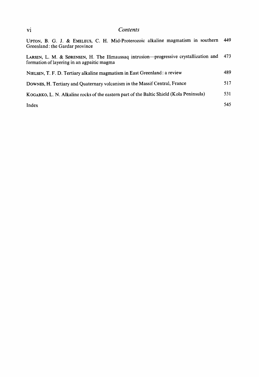## vi *Contents*

| UPTON, B. G. J. & EMELEUS, C. H. Mid-Proterozoic alkaline magmatism in southern<br>Greenland: the Gardar province                   | 449 |
|-------------------------------------------------------------------------------------------------------------------------------------|-----|
| LARSEN, L. M. & SØRENSEN, H. The Ilimaussaq intrusion-progressive crystallization and<br>formation of layering in an agpaitic magma | 473 |
| NIELSEN, T. F. D. Tertiary alkaline magmatism in East Greenland: a review                                                           | 489 |
| DOWNES, H. Tertiary and Quaternary volcanism in the Massif Central, France                                                          | 517 |
| KOGARKO, L. N. Alkaline rocks of the eastern part of the Baltic Shield (Kola Peninsula)                                             | 531 |
| Index                                                                                                                               | 545 |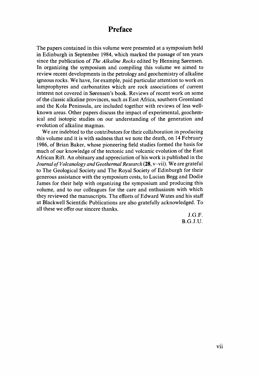# **Preface**

The papers contained in this volume were presented at a symposium held in Edinburgh in September 1984, which marked the passage of ten years since the publication of *The Alkaline Rocks* edited by Henning Sorensen. In organizing the symposium and compiling this volume we aimed to review recent developments in the petrology and geochemistry of alkaline igneous rocks. We have, for example, paid particular attention to work on lamprophyres and carbonatites which are rock associations of current interest not covered in Sorensen's book. Reviews of recent work on some of the classic alkaline provinces, such as East Africa, southern Greenland and the Kola Peninsula, are included together with reviews of less wellknown areas. Other papers discuss the impact of experimental, geochemical and isotopic studies on our understanding of the generation and evolution of alkaline magmas.

We are indebted to the contributors for their collaboration in producing this volume and it is with sadness that we note the death, on 14 February 1986, of Brian Baker, whose pioneering field studies formed the basis for much of our knowledge of the tectonic and volcanic evolution of the East African Rift. An obituary and appreciation of his work is published in the Journal of Volcanology and Geothermal Research (28, v-vii). We are grateful to The Geological Society and The Royal Society of Edinburgh for their generous assistance with the symposium costs, to Lucian Begg and Dodie James for their help with organizing the symposium and producing this volume, and to our colleagues for the care and enthusiasm with which they reviewed the manuscripts. The efforts of Edward Wates and his staff at Blackwell Scientific Publications are also gratefully acknowledged. To all these we offer our sincere thanks.

> J.G.F. B.G.J.U.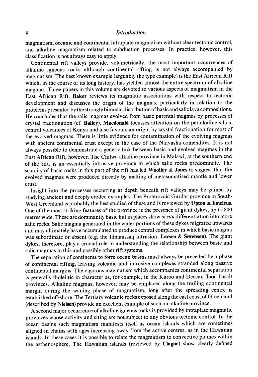### *x Introduction*

magmatism, oceanic and continental intraplate magmatism without clear tectonic control, and alkaline magmatism related to subduction processes. In practice, however, this classification is not always easy to apply.

Continental rift valleys provide, volumetrically, the most important occurrences of alkaline igneous rocks although continental rifting is not always accompanied by magmatism. The best known example (arguably the type example) is the East African Rift which, in the course of its long history, has yielded almost the entire spectrum of alkaline magmas. Three papers in this volume are devoted to various aspects of magmatism in the East African Rift. Baker reviews its magmatic associations with respect to tectonic development and discusses the origin of the magmas, particularly in relation to the problems presented by the strongly bimodal distribution of basic and salic lava compositions. He concludes that the salic magmas evolved from basic parental magmas by processes of crystal fractionation (cf. Bailey). Macdonald focusses attention on the peralkaline silicic central volcanoes of Kenya and also favours an origin by crystal fractionation for most of the evolved magmas. There is little evidence for contamination of the evolving magmas with ancient continental crust except in the case of the Naivasha comendites. It is not always possible to demonstrate a genetic link between basic and evolved magmas in the East African Rift, however. The Chilwa alkaline province in Malawi, at the southern end of the rift, is an essentially intrusive province in which salic rocks predominate. The scarcity of basic rocks in this part of the rift has led Woolley & Jones to suggest that the evolved magmas were produced directly by melting of metasomatised mantle and lower crust.

Insight into the processes occurring at depth beneath rift valleys may be gained by studying ancient and deeply eroded examples. The Proterozoic Gardar province in South-West Greenland is probably the best studied of these and is reviewed by Upton & Emeleus. One of the most striking features of the province is the presence of giant dykes, up to 800 metres wide. These are dominantly basic but in places show *in situ* differentiation into more salic rocks. Salic magma generated in the wider portions of these dykes migrated upwards and may ultimately have accumulated to produce central complexes in which basic magma was subordinate or absent (e.g. the Ilimaussaq intrusion, Larsen & Sørensen). The giant dykes, therefore, play a crucial role in understanding the relationship between basic and salic magmas in this and possibly other rift systems.

The separation of continents to form ocean basins must always be preceded by a phase of continental rifting, leaving volcanic and intrusive complexes stranded along passive continental margins. The vigorous magmatism which accompanies continental separation is generally tholeiitic in character as, for example, in the Karoo and Deccan flood basalt provinces. Alkaline magmas, however, may be emplaced along the trailing continental margin during the waning phase of magmatism, long after the spreading centre is established off-shore. The Tertiary volcanic rocks exposed along the east coast of Greenland (described by Nielsen) provide an excellent example of such an alkaline province.

A second major occurrence of alkaline igneous rocks is provided by intraplate magmatic provinces whose activity and siting are not subject to any obvious tectonic control. In the ocean basins such magmatism manifests itself as ocean islands which are sometimes aligned in chains with ages increasing away from the active centres, as in the Hawaiian islands. In these cases it is possible to relate the magmatism to convective plumes within the asthenosphere. The Hawaiian islands (reviewed by Clague) show clearly defined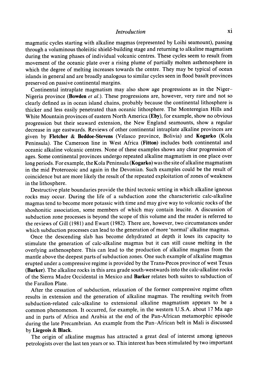### *Introduction* xi

magmatic cycles starting with alkaline magmas (represented by Loihi seamount), passing through a voluminous tholeiitic shield-building stage and returning to alkaline magmatism during the waning phases of individual volcanic centres. These cycles seem to result from movement of the oceanic plate over a rising plume of partially molten asthenosphere in which the degree of melting increases towards the centre. They may be typical of ocean islands in general and are broadly analogous to similar cycles seen in flood basalt provinces preserved on passive continental margins.

Continental intraplate magmatism may also show age progressions as in the Niger-Nigeria province (Bowden *et al.).* These progressions are, however, very rare and not so clearly defined as in ocean island chains, probably because the continental lithosphere is thicker and less easily penetrated than oceanic lithosphere. The Monteregian Hills and White Mountain provinces of eastern North America (Eby), for example, show no obvious progression but their seaward extension, the New England seamounts, show a regular decrease in age eastwards. Reviews of other continental intraplate alkaline provinces are given by Fletcher & **Beddoe-Stevens** (Velasco province, Bolivia) and Kogarko (Kola Peninsula). The Cameroon line in West Africa (Fitton) includes both continental and oceanic alkaline volcanic centres. None of these examples shows any clear progression of ages. Some continental provinces undergo repeated alkaline magmatism in one place over long periods. For example, the Kola Peninsula (Kogarko) was the site of alkaline magmatism in the mid Proterozoic and again in the Devonian. Such examples could be the result of coincidence but are more likely the result of the repeated exploitation of zones of weakness in the lithosphere.

Destructive plate boundaries provide the third tectonic setting in which alkaline igneous rocks may occur. During the life of a subduction zone the characteristic calc-alkaline magmas tend to become more potassic with time and may give way to volcanic rocks of the shoshonitic association, some members of which may contain leucite. A discussion of subduction zone processes is beyond the scope of this volume and the reader is referred to the reviews of Gill (1981) and Ewart (1982). There are, however, two circumstances under which subduction processes can lead to the generation of more 'normal' alkaline magmas.

Once the descending slab has become dehydrated at depth it loses its capacity to stimulate the generation of calc-alkaline magmas but it can still cause melting in the overlying asthenosphere. This can lead to the production of alkaline magmas from the mantle above the deepest parts of subduction zones. One such example of alkaline magmas erupted under a compressive regime is provided by the Trans-Pecos province of west Texas **(Barker).** The alkaline rocks in this area grade south-westwards into the calc-alkaline rocks of the Sierra Madre Occidental in Mexico and Barker relates both suites to subduction of the Farallon Plate.

After the cessation of subduction, relaxation of the former compressive regime often results in extension and the generation of alkaline magmas. The resulting switch from subduction-related calc-alkaline to extensional alkaline magmatism appears to be a common phenomenon. It occurred, for example, in the western U.S.A. about 17 Ma ago and in parts of Africa and Arabia at the end of the Pan-African metamorphic episode during the late Precambrian. An example from the Pan-African belt in Mali is discussed by **Liegeois & Black.** 

The origin of alkaline magmas has attracted a great deal of interest among igneous petrologists over the last ten years or so. This interest has been stimulated by two important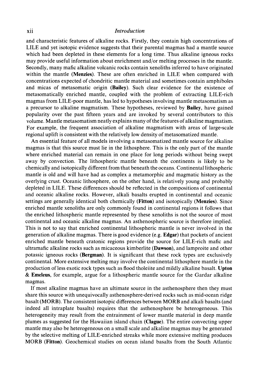# xii *Introduction*

and characteristic features of alkaline rocks. Firstly, they contain high concentrations of LILE and yet isotopic evidence suggests that their parental magmas had a mantle source which had been depleted in these elements for a long time. Thus alkaline igneous rocks may provide useful information about enrichment and/or melting processes in the mantle.<br>Secondly, many mafic alkaline volcanic rocks contain xenoliths inferred to have originated Secondly, many mafic alkaline volcanic rocks contain xenoliths inferred to have originated within the mantie (*Menzies*). These are often enriched in LILE when compared with concentrations expected of chondritic mantle material and sometimes contain amphiboles<br>and micas of metasomatic origin (Bailey). Such clear evidence for the existence of metasomatically enriched mantle, coupled with the problem of extracting LILE-rich metasomatically enriched mantle, coupled with the problem of extracting LILE-rich magmas from LILE-poor mantle, has led to hypotheses involving mantle metasomatism as a precursor to alkaline magmatism. These hypotheses, reviewed by **Bailey**, have gained popularity over the past fifteen vears and are invoked by several contributors to this popularity over the past fifteen years and are invoked by several contributors to this volume. Mantle metasomatism neatly explains many of the features of alkaline magmatism. For example, the frequent association of alkaline magmatism with areas of large-scale regional uplift is consistent with the relatively low density of metasomatized mantle.

An essential feature of all models involving a metasomatized mantle source for alkaline magmas is that this source must lie in the lithosphere. This is the only part of the mantle where enriched material can remain in one place for long periods without being swept away by convection. The lithospheric mantle beneath the continents is likely to be chemically and isotopically different from that beneath the oceans. Continental lithospheric mantle is old and will have had as complex a metamorphic and magmatic history as the overlying crust. Oceanic lithosphere, on the other hand, is relatively young and probably depleted in LILE. These differences should be reflected in the compositions of continental and oceanic alkaline rocks. However, alkali basalts erupted in continental and oceanic settings are generally identical both chemically (Fitton) and isotopically (Menzies). Since enriched mantle xenoliths are only commonly found in continental regions it follows that the enriched lithospheric mantle represented by these xenoliths is not the source of most continental and oceanic alkaline magmas. An asthenospheric source is therefore implied. This is not to say that enriched continental lithospheric mantle is never involved in the generation of alkaline magmas. There is good evidence (e.g. Edgar) that pockets of ancient enriched mantle beneath cratonic regions provide the source for LILE-rich mafic and ultramafic alkaline rocks such as micaceous kimberlite (Dawson), and lamproite and other potassic igneous rocks (Bergman). It is significant that these rock types are exclusively continental. More extensive melting may involve the continental lithosphere mantle in the production of less exotic rock types such as flood tholeiite and mildly alkaline basalt. **Upton**  & Emeleus, for example, argue for a lithospheric mantle source for the Gardar alkaline magmas.

If most alkaline magmas have an ultimate source in the asthenosphere then they must share this source with unequivocally asthenosphere-derived rocks such as mid-ocean ridge basalt (MORB). The consistent isotopic differences between MORB and alkali basalts (and indeed all intraplate basalts) requires that the asthenosphere be heterogeneous. This heterogeneity may result from the entrainment of lower mantle material in deep mantle plumes as suggested for the Hawaiian island chain (Clague). The entire convecting upper mantle may also be heterogeneous on a small scale and alkaline magmas may be generated by the selective melting of LILE-enriched streaks while more extensive melting produces MORB (Fitton). Geochemical studies on ocean island basalts from the South Atlantic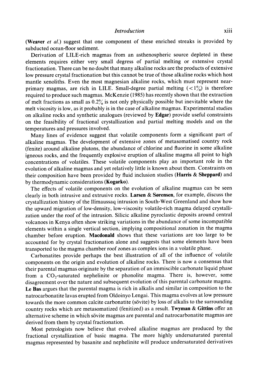(Weaver *et a/.)* suggest that one component of these enriched streaks is provided by subducted ocean-floor sediment.

Derivation of LILE-rich magmas from an asthenospheric source depleted in these elements requires either very small degress of partial melting or extensive crystal fractionation. There can be no doubt that many alkaline rocks are the products of extensive low pressure crystal fractionation but this cannot be true of those alkaline rocks which host mantle xenoliths. Even the most magnesian alkaline rocks, which must represent nearprimary magmas, are rich in LILE. Small-degree partial melting  $(< 1\%)$  is therefore required to produce such magmas. McKenzie (1985) has recently shown that the extraction of melt fractions as small as  $0.2\%$  is not only physically possible but inevitable where the melt viscosity is low, as it probably is in the case of alkaline magmas. Experimental studies on alkaline rocks and synthetic analogues (reviewed by Edgar) provide useful constraints on the feasibility of fractional crystallization and partial melting models and on the temperatures and pressures involved.

Many lines of evidence suggest that volatile components form a significant part of alkaline magmas. The development of extensive zones of metasomatised country rock (fenite) around alkaline plutons, the abundance of chlorine and fluorine in some alkaline igneous rocks, and the frequently explosive eruption of alkaline magma all point to high concentrations of volatiles. These volatile components play an important role in the evolution of alkaline magmas and yet relatively little is known about them. Constraints on their composition have been provided by fluid inclusion studies (Harris  $\&$  Sheppard) and by thermodynamic considerations (Kogarko).

The effects of volatile components on the evolution of alkaline magmas can be seen clearly in both intrusive and extrusive rocks. Larsen & Serensen, for example, discuss the crystallization history of the Ilimaussaq intrusion in South-West Greenland and show how the upward migration of low-density, low-viscosity volatile-rich magma delayed crystallization under the roof of the intrusion. Silicic alkaline pyroclastic deposits around central volcanoes in Kenya often show striking variations in the abundance of some incompatible elements within a single vertical section, implying compositional zonation in the magma chamber before eruption. Macdonald shows that these variations are too large to be accounted for by crystal fractionation alone and suggests that some elements have been transported to the magma chamber roof zones as complex ions in a volatile phase.

Carbonatites provide perhaps the best illustration of all of the influence of volatile components on the origin and evolution of alkaline rocks. There is now a consensus that their parental magmas originate by the separation of an immiscible carbonate liquid phase from a  $CO_2$ -saturated nephelinite or phonolite magma. There is, however, some disagreement over the nature and subsequent evolution of this parental carbonate magma. Le Bas argues that the parental magma is rich in alkalis and similar in composition to the natrocarbonatite lavas erupted from Oldoinyo Lengai. This magma evolves at low pressure towards the more common calcite carbonatite (sövite) by loss of alkalis to the surrounding country rocks which are metasomatized (fenitized) as a result. Twyman & Gittins offer an alternative scheme in which sövite magmas are parental and natrocarbonatite magmas are derived from them by crystal fractionation.

Most petrologists now believe that evolved alkaline magmas are produced by the fractional crystallization of basic magma. The more highly undersaturated parental magmas represented by basanite and nephelinite will produce undersaturated derivatives